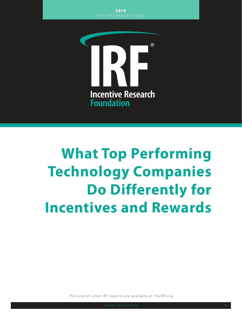

# **What Top Performing Technology Companies Do Differently for Incentives and Rewards**

This and all other IRF reports are available at TheIRF.org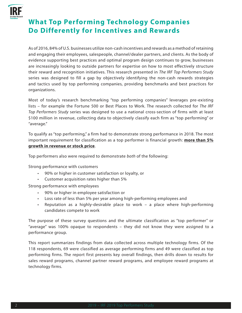

# **What Top Performing Technology Companies Do Differently for Incentives and Rewards**

As of 2016, 84% of U.S. businesses utilize non-cash incentives and rewards as a method of retaining and engaging their employees, salespeople, channel/dealer partners, and clients. As the body of evidence supporting best practices and optimal program design continues to grow, businesses are increasingly looking to outside partners for expertise on how to most effectively structure their reward and recognition initiatives. This research presented in *The IRF Top Performers Study*  series was designed to fill a gap by objectively identifying the non-cash rewards strategies and tactics used by top performing companies, providing benchmarks and best practices for organizations.

Most of today's research benchmarking "top performing companies" leverages pre-existing lists – for example the Fortune 500 or Best Places to Work. The research collected for *The IRF Top Performers Study* series was designed to use a national cross-section of firms with at least \$100 million in revenue, collecting data to objectively classify each firm as "top performing" or "average."

To qualify as "top performing," a firm had to demonstrate strong performance in 2018. The most important requirement for classification as a top performer is financial growth: **more than 5% growth in revenue or stock price**.

Top performers also were required to demonstrate *both* of the following:

Strong performance with customers

- 90% or higher in customer satisfaction or loyalty, or
- Customer acquisition rates higher than 5%

Strong performance with employees

- 90% or higher in employee satisfaction or
- Loss rate of less than 5% per year among high-performing employees and
- Reputation as a highly-desirable place to work a place where high-performing candidates compete to work

The purpose of these survey questions and the ultimate classification as "top performer" or "average" was 100% opaque to respondents – they did not know they were assigned to a performance group.

This report summarizes findings from data collected across multiple technology firms. Of the 118 respondents, 69 were classified as average performing firms and 49 were classified as top performing firms. The report first presents key overall findings, then drills down to results for sales reward programs, channel partner reward programs, and employee reward programs at technology firms.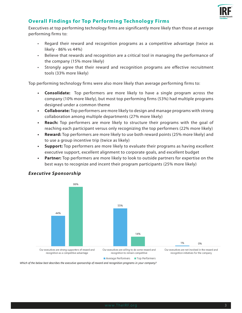

# **Overall Findings for Top Performing Technology Firms**

Executives at top performing technology firms are significantly more likely than those at average performing firms to:

- Regard their reward and recognition programs as a competitive advantage (twice as likely - 86% vs 44%)
- Believe that rewards and recognition are a critical tool in managing the performance of the company (15% more likely)
- Strongly agree that their reward and recognition programs are effective recruitment tools (33% more likely)

Top performing technology firms were also more likely than average performing firms to:

- **• Consolidate:** Top performers are more likely to have a single program across the company (10% more likely), but most top performing firms (53%) had multiple programs designed under a common theme
- **• Collaborate:** Top performers are more likely to design and manage programs with strong collaboration among multiple departments (27% more likely)
- **• Reach:** Top performers are more likely to structure their programs with the goal of reaching each participant versus only recognizing the top performers (22% more likely)
- **• Reward:** Top performers are more likely to use both reward points (25% more likely) and to use a group incentive trip (twice as likely)
- **• Support:** Top performers are more likely to evaluate their programs as having excellent executive support, excellent alignment to corporate goals, and excellent budget
- **• Partner:** Top performers are more likely to look to outside partners for expertise on the best ways to recognize and incent their program participants (25% more likely)



## *Executive Sponsorship*

Average Performers Top Performers

Our executives are not involved in the reward and

Which of the below best describes the executive sponsorship of reward and recognition programs in your company?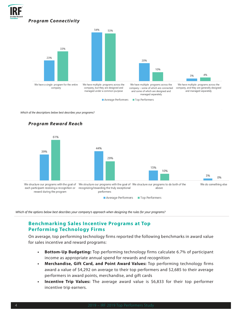



Which of the descriptions below best describes your programs?



Which of the options below best describes your company's approach when designing the rules for your programs?

# **Benchmarking Sales Incentive Programs at Top Performing Technology Firms**

On average, top performing technology firms reported the following benchmarks in award value for sales incentive and reward programs:

- **• Bottom-Up Budgeting:** Top performing technology firms calculate 6.7% of participant income as appropriate annual spend for rewards and recognition
- **• Merchandise, Gift Card, and Point Award Values:** Top performing technology firms award a value of \$4,292 on average to their top performers and \$2,685 to their average performers in award points, merchandise, and gift cards
- **• Incentive Trip Values:** The average award value is \$6,833 for their top performer incentive trip earners.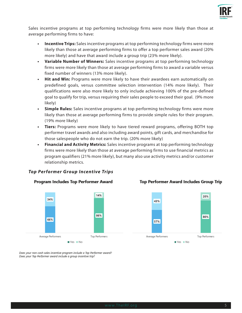

Sales incentive programs at top performing technology firms were more likely than those at average performing firms to have:

- **• Incentive Trips:** Sales incentive programs at top performing technology firms were more likely than those at average performing firms to offer a top performer sales award (20% more likely) and have that award include a group trip (23% more likely).
- **• Variable Number of Winners:** Sales incentive programs at top performing technology firms were more likely than those at average performing firms to award a variable versus fixed number of winners (13% more likely).
- **• Hit and Win:** Programs were more likely to have their awardees earn automatically on predefined goals, versus committee selection intervention (14% more likely). Their qualifications were also more likely to only include achieving 100% of the pre-defined goal to qualify for trip, versus requiring their sales people to exceed their goal. (9% more likely)
- **• Simple Rules:** Sales incentive programs at top performing technology firms were more likely than those at average performing firms to provide simple rules for their program. (19% more likely)
- **• Tiers:** Programs were more likely to have tiered reward programs, offering BOTH top performer travel awards and also including award points, gift cards, and merchandise for those salespeople who do not earn the trip. (20% more likely)
- **• Financial and Activity Metrics:** Sales incentive programs at top performing technology firms were more likely than those at average performing firms to use financial metrics as program qualifiers (21% more likely), but many also use activity metrics and/or customer relationship metrics.

#### *Top Per former Group Incentive Trips*





#### **Top Performer Award Includes Group Trip**



Does your non-cash sales incentive program include a Top Performer award? Does your Top Performer award include a group incentive trip?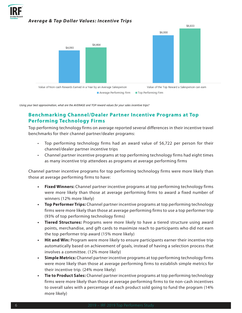

#### *Average & Top Dollar Values: Incentive Trips*



Using your best approximation, what are the AVERAGE and TOP reward values for your sales incentive trips?

# **Benchmarking Channel/Dealer Partner Incentive Programs at Top Performing Technology Firms**

Top performing technology firms on average reported several differences in their incentive travel benchmarks for their channel partner/dealer programs:

- Top performing technology firms had an award value of \$6,722 per person for their channel/dealer partner incentive trips
- Channel partner incentive programs at top performing technology firms had eight times as many incentive trip attendees as programs at average performing firms

Channel partner incentive programs for top performing technology firms were more likely than those at average performing firms to have:

- **• Fixed Winners:** Channel partner incentive programs at top performing technology firms were more likely than those at average performing firms to award a fixed number of winners (12% more likely)
- **• Top Performer Trips:** Channel partner incentive programs at top performing technology firms were more likely than those at average performing firms to use a top performer trip (93% of top performing technology firms)
- **• Tiered Structures:** Programs were more likely to have a tiered structure using award points, merchandise, and gift cards to maximize reach to participants who did not earn the top performer trip award (15% more likely)
- **• Hit and Win:** Program were more likely to ensure participants earner their incentive trip automatically based on achievement of goals, instead of having a selection process that involves a committee. (12% more likely)
- **• Simple Metrics:** Channel partner incentive programs at top performing technology firms were more likely than those at average performing firms to establish simple metrics for their incentive trip. (24% more likely)
- **• Tie to Product Sales:** Channel partner incentive programs at top performing technology firms were more likely than those at average performing firms to tie non-cash incentives to overall sales with a percentage of each product sold going to fund the program (14% more likely)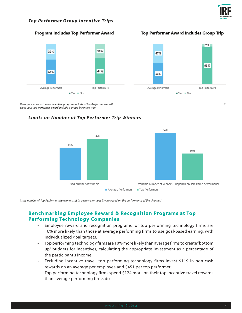

4

#### *Top Per former Group Incentive Trips*

#### Program Includes Top Performer Award





Does your non-cash sales incentive program include a Top Performer award? Does vour Top Performer award include a aroup incentive trip?

## *Limits on Number of Top Per former Trip Winners*



Is the number of Top Performer trip winners set in advance, or does it vary based on the performance of the channel?

# **Benchmarking Employee Reward & Recognition Programs at Top Performing Technology Companies**

- Employee reward and recognition programs for top performing technology firms are 16% more likely than those at average performing firms to use goal-based earning, with individualized goal targets.
- Top performing technology firms are 10% more likely than average firms to create "bottom up" budgets for incentives, calculating the appropriate investment as a percentage of the participant's income.
- Excluding incentive travel, top performing technology firms invest \$119 in non-cash rewards on an average per employee and \$451 per top performer.
- Top performing technology firms spend \$124 more on their top incentive travel rewards than average performing firms do.